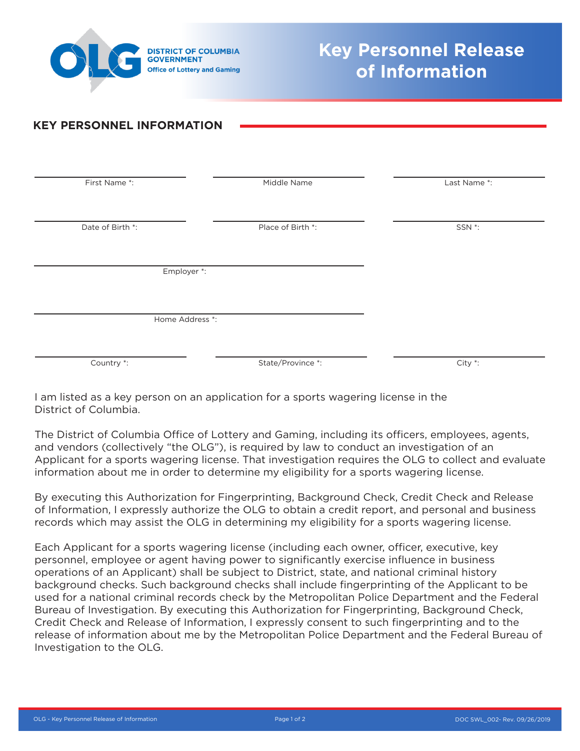

## **KEY PERSONNEL INFORMATION**

| First Name *:    | Middle Name       | Last Name *:       |
|------------------|-------------------|--------------------|
|                  |                   |                    |
|                  |                   |                    |
| Date of Birth *: | Place of Birth *: | SSN <sup>*</sup> : |
|                  |                   |                    |
|                  |                   |                    |
|                  |                   |                    |
| Employer *:      |                   |                    |
|                  |                   |                    |
|                  |                   |                    |
| Home Address *:  |                   |                    |
|                  |                   |                    |
|                  |                   |                    |
|                  |                   |                    |
| Country *:       | State/Province *: | City *:            |
|                  |                   |                    |

I am listed as a key person on an application for a sports wagering license in the District of Columbia.

The District of Columbia Office of Lottery and Gaming, including its officers, employees, agents, and vendors (collectively "the OLG"), is required by law to conduct an investigation of an Applicant for a sports wagering license. That investigation requires the OLG to collect and evaluate information about me in order to determine my eligibility for a sports wagering license.

By executing this Authorization for Fingerprinting, Background Check, Credit Check and Release of Information, I expressly authorize the OLG to obtain a credit report, and personal and business records which may assist the OLG in determining my eligibility for a sports wagering license.

Each Applicant for a sports wagering license (including each owner, officer, executive, key personnel, employee or agent having power to significantly exercise influence in business operations of an Applicant) shall be subject to District, state, and national criminal history background checks. Such background checks shall include fingerprinting of the Applicant to be used for a national criminal records check by the Metropolitan Police Department and the Federal Bureau of Investigation. By executing this Authorization for Fingerprinting, Background Check, Credit Check and Release of Information, I expressly consent to such fingerprinting and to the release of information about me by the Metropolitan Police Department and the Federal Bureau of Investigation to the OLG.